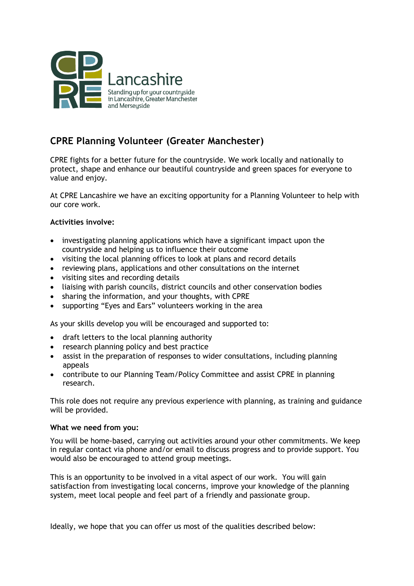

# **CPRE Planning Volunteer (Greater Manchester)**

CPRE fights for a better future for the countryside. We work locally and nationally to protect, shape and enhance our beautiful countryside and green spaces for everyone to value and enjoy.

At CPRE Lancashire we have an exciting opportunity for a Planning Volunteer to help with our core work.

## **Activities involve:**

- investigating planning applications which have a significant impact upon the countryside and helping us to influence their outcome
- visiting the local planning offices to look at plans and record details
- reviewing plans, applications and other consultations on the internet
- visiting sites and recording details
- liaising with parish councils, district councils and other conservation bodies
- sharing the information, and your thoughts, with CPRE
- supporting "Eyes and Ears" volunteers working in the area

As your skills develop you will be encouraged and supported to:

- draft letters to the local planning authority
- research planning policy and best practice
- assist in the preparation of responses to wider consultations, including planning appeals
- contribute to our Planning Team/Policy Committee and assist CPRE in planning research.

This role does not require any previous experience with planning, as training and guidance will be provided.

#### **What we need from you:**

You will be home-based, carrying out activities around your other commitments. We keep in regular contact via phone and/or email to discuss progress and to provide support. You would also be encouraged to attend group meetings.

This is an opportunity to be involved in a vital aspect of our work. You will gain satisfaction from investigating local concerns, improve your knowledge of the planning system, meet local people and feel part of a friendly and passionate group.

Ideally, we hope that you can offer us most of the qualities described below: